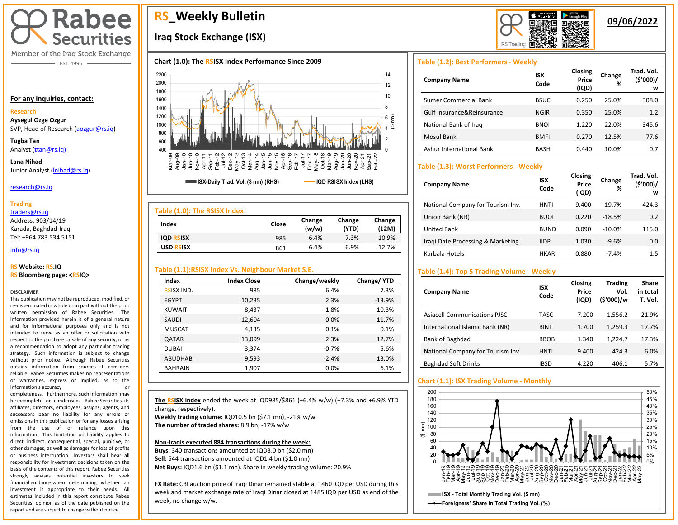

Member of the Iraq Stock Exchange - EST. 1995

### **For any inquiries, contact:**

## **Research**

**Aysegul Ozge Ozgur**  SVP, Head of Research [\(aozgur@rs.iq\)](mailto:aozgur@rs.iq)

**Tugba Tan** Analyst [\(ttan@rs.iq\)](mailto:ttan@rs.iq)

**Lana Nihad** Junior Analyst (Inihad@rs.iq)

### research@rs.iq

### **Trading**

traders@rs.iq Address: 903/14/19 Karada, Baghdad-Iraq Tel: +964 783 534 5151

### info@rs.iq İ

### **RS Website: RS.IQ RS Bloomberg page: <RSIQ>**

### **DISCLAIMER**

This publication may not be reproduced, modified, or re-disseminated in whole or in part without the prior written permission of Rabee Securities. The information provided herein is of a general nature and for informational purposes only and is not intended to serve as an offer or solicitation with respect to the purchase or sale of any security, or as a recommendation to adopt any particular trading strategy. Such information is subject to change without prior notice. Although Rabee Securities obtains information from sources it considers reliable, Rabee Securities makes no representations or warranties, express or implied, as to the information's accuracy or

completeness. Furthermore, such information may be incomplete or condensed. Rabee Securities, its affiliates, directors, employees, assigns, agents, and successors bear no liability for any errors or omissions in this publication or for any losses arising from the use of or reliance upon this information. This limitation on liability applies to direct, indirect, consequential, special, punitive, or other damages, as well as damages for loss of profits or business interruption. Investors shall bear all responsibility for investment decisions taken on the basis of the contents of this report. Rabee Securities strongly advises potential investors to seek financial guidance when determining whether an investment is appropriate to their needs. All estimates included in this report constitute Rabee Securities' opinion as of the date published on the report and are subject to change without notice.

# **RS\_Weekly Bulletin**

# **Iraq Stock Exchange (ISX)**





| Index            | Close | Change<br>(w/w) | Change<br>(YTD) | Change<br>(12M) |
|------------------|-------|-----------------|-----------------|-----------------|
| <b>IQD RSISX</b> | 985   | 6.4%            | 7.3%            | 10.9%           |
| <b>USD RSISX</b> | 861   | 6.4%            | 6.9%            | 12.7%           |

# **Table (1.1):RSISX Index Vs. Neighbour Market S.E.**

| Index             | <b>Index Close</b> | Change/weekly | Change/YTD |
|-------------------|--------------------|---------------|------------|
| <b>RSISX IND.</b> | 985                | 6.4%          | 7.3%       |
| <b>EGYPT</b>      | 10,235             | 2.3%          | $-13.9%$   |
| <b>KUWAIT</b>     | 8,437              | $-1.8%$       | 10.3%      |
| SAUDI             | 12,604             | 0.0%          | 11.7%      |
| <b>MUSCAT</b>     | 4,135              | 0.1%          | 0.1%       |
| <b>QATAR</b>      | 13,099             | 2.3%          | 12.7%      |
| <b>DUBAI</b>      | 3,374              | $-0.7%$       | 5.6%       |
| <b>ABUDHABI</b>   | 9,593              | $-2.4%$       | 13.0%      |
| <b>BAHRAIN</b>    | 1,907              | 0.0%          | 6.1%       |

**The RSISX index** ended the week at IQD985/\$861 (+6.4% w/w) (+7.3% and +6.9% YTD change, respectively). **Weekly trading volume:** IQD10.5 bn (\$7.1 mn), -21% w/w

**The number of traded shares:** 8.9 bn, -17% w/w

I

### **Non-Iraqis executed 884 transactions during the week:**

**Buys:** 340 transactions amounted at IQD3.0 bn (\$2.0 mn) **Sell:** 544 transactions amounted at IQD1.4 bn (\$1.0 mn) **Net Buys:** IQD1.6 bn (\$1.1 mn). Share in weekly trading volume: 20.9%

**FX Rate:** CBI auction price of Iraqi Dinar remained stable at 1460 IQD per USD during this week and market exchange rate of Iraqi Dinar closed at 1485 IQD per USD as end of the week, no change w/w.



# **09/06/2022**

# **Table (1.2): Best Performers - Weekly**

| <b>Company Name</b>        | <b>ISX</b><br>Code | Closing<br>Price<br>(IQD) | Change<br>% | Trad. Vol.<br>(\$'000)/<br>w |
|----------------------------|--------------------|---------------------------|-------------|------------------------------|
| Sumer Commercial Bank      | <b>BSUC</b>        | 0.250                     | 25.0%       | 308.0                        |
| Gulf Insurance&Reinsurance | <b>NGIR</b>        | 0.350                     | 25.0%       | 1.2                          |
| National Bank of Iraq      | <b>BNOI</b>        | 1.220                     | 22.0%       | 345.6                        |
| Mosul Bank                 | <b>BMFI</b>        | 0.270                     | 12.5%       | 77.6                         |
| Ashur International Bank   | BASH               | 0.440                     | 10.0%       | 0.7                          |

# **Table (1.3): Worst Performers - Weekly**

| <b>Company Name</b>               | <b>ISX</b><br>Code | Closing<br>Price<br>(IQD) | Change<br>% | Trad. Vol.<br>(\$'000)/<br>w |
|-----------------------------------|--------------------|---------------------------|-------------|------------------------------|
| National Company for Tourism Inv. | HNTI               | 9.400                     | $-19.7%$    | 424.3                        |
| Union Bank (NR)                   | <b>BUOI</b>        | 0.220                     | $-18.5%$    | 0.2                          |
| <b>United Bank</b>                | <b>BUND</b>        | 0.090                     | $-10.0%$    | 115.0                        |
| Iragi Date Processing & Marketing | <b>IIDP</b>        | 1.030                     | $-9.6%$     | 0.0                          |
| Karbala Hotels                    | <b>HKAR</b>        | 0.880                     | $-7.4%$     | 1.5                          |

# **Table (1.4): Top 5 Trading Volume - Weekly**

| <b>Company Name</b>                 | <b>ISX</b><br>Code | Closing<br>Price<br>(IQD) | <b>Trading</b><br>Vol.<br>(\$'000)/w | Share<br>in total<br>T. Vol. |
|-------------------------------------|--------------------|---------------------------|--------------------------------------|------------------------------|
| <b>Asiacell Communications PJSC</b> | <b>TASC</b>        | 7.200                     | 1,556.2                              | 21.9%                        |
| International Islamic Bank (NR)     | <b>BINT</b>        | 1.700                     | 1,259.3                              | 17.7%                        |
| Bank of Baghdad                     | <b>BBOB</b>        | 1.340                     | 1.224.7                              | 17.3%                        |
| National Company for Tourism Inv.   | <b>HNTI</b>        | 9.400                     | 424.3                                | 6.0%                         |
| <b>Baghdad Soft Drinks</b>          | IBSD               | 4.220                     | 406.1                                | 5.7%                         |

# **Chart (1.1): ISX Trading Volume - Monthly**

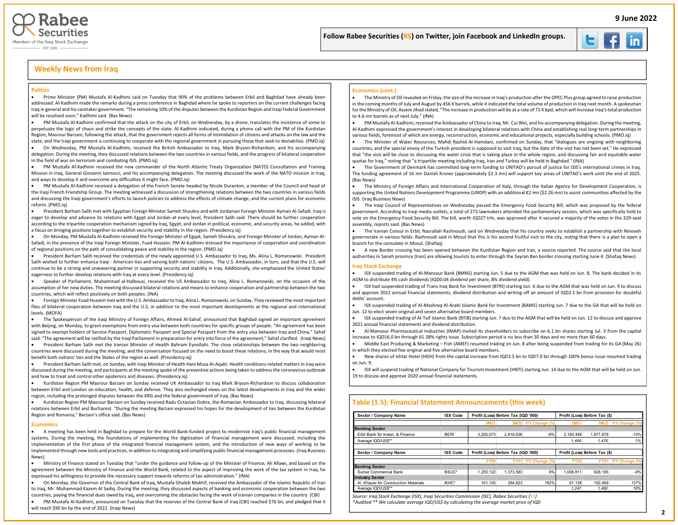

### Follow Rabee Securities (RS) on Twitter, join Facebook and LinkedIn groups.



İ

Į

## **Weekly News from Iraq**

### **Politics**

• Prime Minister (PM) Mustafa Al-Kadhimi said on Tuesday that 90% of the problems between Erbil and Baghdad have already been addressed. Al-Kadhimi made the remarks during a press conference in Baghdad where he spoke to reporters on the current challenges facing Iraq in general and his caretaker government. "The remaining 10% of the disputes between the Kurdistan Region and Iraqi Federal Government will be resolved soon." Kadhimi said. (Bas News)

• PM Mustafa Al-Kadhimi confirmed that the attack on the city of Erbil, on Wednesday, by a drone, translates the insistence of some to perpetuate the logic of chaos and strike the concepts of the state. Al-Kadhimi indicated, during a phone call with the PM of the Kurdistan Region, Masrour Barzani, following the attack, that the government rejects all forms of intimidation of citizens and attacks on the law and the state, and the Iraqi government is continuing to cooperate with the regional government in pursuing those that seek to destabilize. (PMO.iq)

• On Wednesday, PM Mustafa Al-Kadhimi, received the British Ambassador to Iraq, Mark Bryson-Richardson, and his accompanying delegation. During the meeting, they discussed relations between the two countries in various fields, and the progress of bilateral cooperation in the field of war on terrorism and combating ISIS. (PMO.iq)

• PM Mustafa Al-Kadhimi received the new commander of the North Atlantic Treaty Organization (NATO) Consultation and Training Mission in Iraq, General Giovanni Iannucci, and his accompanying delegation. The meeting discussed the work of the NATO mission in Iraq, and ways to develop it and overcome any difficulties it might face. (PMO.iq)

• PM Mustafa Al-Kadhimi received a delegation of the French Senate headed by Nicole Duranton, a member of the Council and head of the Iraqi French Friendship Group. The meeting witnessed a discussion of strengthening relations between the two countries in various fields and discussing the Iraqi government's efforts to launch policies to address the effects of climate change, and the current plans for economic reform. (PMO.iq)

• President Barham Salih met with Egyptian Foreign Minister Sameh Shoukry and with Jordanian Foreign Minister Ayman Al-Safadi. Iraq is eager to develop and advance its relations with Egypt and Jordan at every level, President Salih said. There should be further cooperation according to the tripartite cooperation mechanism signed by Iraq, Egypt, and Jordan in political, economic, and security areas, he added, with a focus on bringing positions together to establish security and stability in the region. (Presidency.iq)

• On Monday, PM Mustafa Al-Kadhimi received the Foreign Minister of Egypt, Sameh Shoukry, and Foreign Minister of Jordan, Ayman Al-Safadi, in the presence of the Iraqi Foreign Minister, Fuad Hussein. PM Al-Kadhimi stressed the importance of cooperation and coordination of regional positions on the path of consolidating peace and stability in the region. (PMO.iq)

• President Barham Salih received the credentials of the newly appointed U.S. Ambassador to Iraq, Ms. Alina L. Romanowski. President Salih wished to further enhance Iraqi - American ties and serving both nations' citizens. The U.S. Ambassador, in turn, said that the U.S. will continue to be a strong and unwavering partner in supporting security and stability in Iraq. Additionally, she emphasized the United States' eagerness to further develop relations with Iraq at every level. (Presidency.iq)

• Speaker of Parliament, Muhammad al-Halbousi, received the US Ambassador to Iraq, Alina L. Romanowski, on the occasion of the assumption of her new duties. The meeting discussed bilateral relations and means to enhance cooperation and partnership between the two countries, which will reflect positively on both peoples. (INA)

• Foreign Minister Fuad Hussein met with the U.S. Ambassador to Iraq, Alina L. Romanowski, on Sunday. They reviewed the most important files of bilateral cooperation between Iraq and the U.S, in addition to the most important developments at the regional and international levels. (MOFA)

• The Spokesperson of the Iraqi Ministry of Foreign Affairs, Ahmed Al-Sahaf, announced that Baghdad signed an important agreement with Beijing, on Monday, to grant exemptions from entry visa between both countries for specific groups of people. "An agreement has been signed to exempt holders of Service Passport, Diplomatic Passport and Special Passport from the entry visa between Iraq and China," Sahaf said. "The agreement will be ratified by the Iraqi Parliament in preparation for entry into force of the agreement," Sahaf clarified. (Iraqi News)

• President Barham Salih met the Iranian Minister of Health Bahram Eynollahi. The close relationships between the two neighboring countries were discussed during the meeting, and the conversation focused on the need to boost these relations, in the way that would most benefit both nations' ties and the States of the region as well. (Presidency.iq)

• President Barham Salih met, on Sunday, with Iraqi Minister of Health Hani Musa Al-Aqabi. Health conditions-related matters in Iraq were discussed during the meeting, and participants at the meeting spoke of the preventive actions being taken to address the coronavirus outbreak and how to treat and control other epidemics and diseases. (Presidency.iq)

• Kurdistan Region PM Masrour Barzani on Sunday received UK Ambassador to Iraq Mark Bryson-Richardson to discuss collaboration between Erbil and London on education, health, and defense. They also exchanged views on the latest developments in Iraq and the wider region, including the prolonged disputes between the KRG and the federal government of Iraq. (Bas News)

• Kurdistan Region PM Masrour Barzani on Sunday received Radu Octavian Dobre, the Romanian Ambassador to Iraq, discussing bilateral relations between Erbil and Bucharest. "During the meeting Barzani expressed his hopes for the development of ties between the Kurdistan Region and Romania," Barzani's office said. (Bas News)

#### **Economics**

• A meeting has been held in Baghdad to prepare for the World Bank-funded project to modernize Iraq's public financial management systems. During the meeting, the foundations of implementing the digitization of financial management were discussed, including the implementation of the first phase of the integrated financial management system, and the introduction of new ways of working to be implemented through new tools and practices, in addition to integrating and simplifying public financial management processes. (Iraq Business News)

• Ministry of Finance stated on Tuesday that "under the guidance and follow-up of the Minister of Finance, Ali Allawi, and based on the agreement between the Ministry of Finance and the World Bank, related to the aspect of improving the work of the tax system in Iraq, he expressed his willingness to provide the necessary support towards reforms of tax administration." (INA)

• On Monday, the Governor of the Central Bank of Iraq, Mustafa Ghaleb Mokhif, received the Ambassador of the Islamic Republic of Iran to Iraq, Mr. Muhammad Kazem Al Sadiq. During the meeting, they discussed aspects of banking and economic cooperation between the two countries, paying the financial dues owed by Iraq, and overcoming the obstacles facing the work of Iranian companies in the country. (CBI)

• PM Mustafa Al-Kadhimi, announced on Tuesday that the reserves of the Central Bank of Iraq (CBI) reached \$76 bn, and pledged that it will reach \$90 bn by the end of 2022. (Iraqi News)

#### **Economics (cont.)**

• The Ministry of Oil revealed on Friday, the size of the increase in Iraq's production after the OPEC Plus group agreed to raise production in the coming months of July and August by 456 K barrels, while it indicated the total volume of production in Iraq next month. A spokesman for the Ministry of Oil, Assem Jihad stated, "The increase in production will be at a rate of 71 K bpd, which will increase Iraq's total production to 4.6 mn barrels as of next July." (INA)

• PM Mustafa Al-Kadhimi, received the Ambassador of China to Iraq, Mr. Cui Wei, and his accompanying delegation. During the meeting, Al-Kadhimi expressed the government's interest in developing bilateral relations with China and establishing real long-term partnerships in various fields, foremost of which are energy, reconstruction, economic and educational projects, especially building schools. (PMO.iq)

• The Minister of Water Resources, Mahdi Rashid Al-Hamdani, confirmed on Sunday, that "dialogues are ongoing with neighboring countries, and the special envoy of the Turkish president is supposed to visit Iraq, but the date of the visit has not been set." He expressed that "the visit will be close to discussing the water crisis that is taking place in the whole region, and discussing fair and equitable water quotas for Iraq," noting that "a tripartite meeting including Iraq, Iran and Turkey will be held in Baghdad." (INA)

• The Government of Denmark has committed long-term funding to UNITAD's pursuit of justice for ISIS's international crimes in Iraq. The funding agreement of 16 mn Danish Kroner (approximately \$2.3 mn) will support key areas of UNITAD's work until the end of 2025. (Bas News)

• The Ministry of Foreign Affairs and International Cooperation of Italy, through the Italian Agency for Development Cooperation, is supporting the United Nations Development Programme (UNDP) with an additional €2 mn (\$2.26 mn) to assist communities affected by the ISIS. (Iraq Business News)

• The Iraqi Council of Representatives on Wednesday passed the Emergency Food Security Bill, which was proposed by the federal government. According to Iraqi media outlets, a total of 273 lawmakers attended the parliamentary session, which was specifically held to vote on the Emergency Food Security Bill. The bill, worth IQD27 trln, was approved after it secured a majority of the votes in the 329-seat assembly, reports said. (Bas News)

• The Iranian Consul in Erbil, Nasrallah Rashnoudi, said on Wednesday that his country seeks to establish a partnership with Nineveh governorate in various fields. Rashnoudi said in Mosul that this is his second fruitful visit to the city, noting that there is a plan to open a branch for the consulate in Mosul. (Shafaq)

• A new Border crossing has been opened between the Kurdistan Region and Iran, a source reported. The source said that the local authorities in Saneh province (Iran) are allowing tourists to enter through the Sayran Ban border crossing starting June 4. (Shafaq News)

### **Iraq Stock Exchange**

• ISX suspended trading of Al-Mansour Bank (BMNS) starting Jun. 5 due to the AGM that was held on Jun. 8. The bank decided in its AGM to distribute 4% cash dividends (IQD0.04 dividend per share, 8% dividend yield).

• ISX had suspended trading of Trans Iraq Bank for Investment (BTRI) starting Jun. 6 due to the AGM that was held on Jun. 9 to discuss and approve 2021 annual financial statements, dividend distribution and writing off an amount of IQD2.1 bn from provision for doubtful debts' account.

• ISX suspended trading of Al-Mashreq Al-Arabi Islamic Bank for Investment (BAMS) starting Jun. 7 due to the GA that will be hold on Jun. 12 to elect seven original and seven alternative board members.

• ISX suspended trading of Al-Taif Islamic Bank (BTIB) starting Jun. 7 due to the AGM that will be held on Jun. 12 to discuss and approve 2021 annual financial statements and dividend distribution

• Al-Mansour Pharmaceutical Industries (IMAP) invited its shareholders to subscribe on 6.1 bn shares starting Jul. 3 from the capital increase to IQD16.0 bn through 61.38% rights issue. Subscription period is no less than 30 days and no more than 60 days.

• Middle East Producing & Marketing – Fish (AMEF) resumed trading on Jun. 8 after being suspended from trading for its GA (May 26) in which they elected five original and five alternative board members.

• New shares of Ishtar Hotel (HISH) from the capital increase from IQD3.5 bn to IQD7.0 bn through 100% bonus issue resumed trading on Jun. 9.

• ISX will suspend trading of National Company for Tourism Investment (HNTI) starting Jun. 14 due to the AGM that will be held on Jun. 19 to discuss and approve 2020 annual financial statements.

### **Table (1.5): Financial Statement Announcements (this week)**

| Sector / Company Name                | <b>ISX Code</b> | Profit (Loss) Before Tax (IQD '000) |           |                     | Profit (Loss) Before Tax (\$) |             |                |  |  |  |  |
|--------------------------------------|-----------------|-------------------------------------|-----------|---------------------|-------------------------------|-------------|----------------|--|--|--|--|
|                                      |                 | 3M21                                |           | 3M22 Y/Y Change (%) | 3M21                          | 3M22        | Y/Y Change (%) |  |  |  |  |
| <b>Banking Sector</b>                |                 |                                     |           |                     |                               |             |                |  |  |  |  |
| Frbil Bank for Invest. & Finance     | <b>BERI</b>     | 3.200.073                           | 2.918.636 | $-9%$               | 2.185.448                     | 1.977.678   | $-10%$         |  |  |  |  |
| Average IQD/US\$**                   |                 |                                     |           |                     | 1.464                         | 1.476       | 1%             |  |  |  |  |
| Sector / Company Name                | <b>ISX Code</b> | Profit (Loss) Before Tax (IQD '000) |           |                     | Profit (Loss) Before Tax (\$) |             |                |  |  |  |  |
|                                      |                 | <b>FY20</b>                         |           | FY21 Y/Y Change (%) | <b>FY20</b>                   | <b>FY21</b> | Y/Y Change (%) |  |  |  |  |
| <b>Banking Sector</b>                |                 |                                     |           |                     |                               |             |                |  |  |  |  |
| Sumer Commercial Bank                | BSUC*           | 1.255.122                           | 1.373.583 | 9%                  | 1.006.811                     | 928.195     | $-8%$          |  |  |  |  |
| <b>Industry Sector</b>               |                 |                                     |           |                     |                               |             |                |  |  |  |  |
| AI-Khazer for Construction Materials | IKHC*           | 101.150                             | 284.823   | 182%                | 81.138                        | 192.469     | 137%           |  |  |  |  |
| Average IQD/US\$**                   |                 |                                     |           |                     | 1.247                         | 1.480       | 19%            |  |  |  |  |

*Source: Iraq Stock Exchange (ISX), Iraqi Securities Commission (ISC), Rabee Securities (RS)*

*\*Audited \*\* We calculate average IQD/US\$ by calculating the average market price of IQD*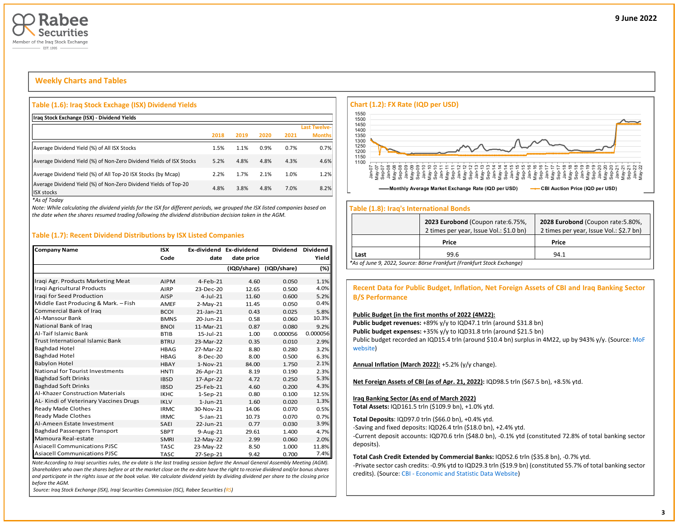

# **Weekly Charts and Tables**

### **Table (1.6): Iraq Stock Exchage (ISX) Dividend Yields**

| Iraq Stock Exchange (ISX) - Dividend Yields                                           |      |      |      |      |                     |
|---------------------------------------------------------------------------------------|------|------|------|------|---------------------|
|                                                                                       |      |      |      |      | <b>Last Twelve-</b> |
|                                                                                       | 2018 | 2019 | 2020 | 2021 | <b>Months</b>       |
| Average Dividend Yield (%) of All ISX Stocks                                          | 1.5% | 1.1% | 0.9% | 0.7% | 0.7%                |
| Average Dividend Yield (%) of Non-Zero Dividend Yields of ISX Stocks                  | 5.2% | 4.8% | 4.8% | 4.3% | 4.6%                |
| Average Dividend Yield (%) of All Top-20 ISX Stocks (by Mcap)                         | 2.2% | 1.7% | 2.1% | 1.0% | 1.2%                |
| Average Dividend Yield (%) of Non-Zero Dividend Yields of Top-20<br><b>ISX stocks</b> | 4.8% | 3.8% | 4.8% | 7.0% | 8.2%                |

*\*As of Today*

*Note: While calculating the dividend yields for the ISX for different periods, we grouped the ISX listed companies based on the date when the shares resumed trading following the dividend distribution decision taken in the AGM.* 

### **Table (1.7): Recent Dividend Distributions by ISX Listed Companies**

| <b>Company Name</b>                     | <b>ISX</b>  | Ex-dividend Ex-dividend |             | <b>Dividend</b> | <b>Dividend</b> |
|-----------------------------------------|-------------|-------------------------|-------------|-----------------|-----------------|
|                                         | Code        | date                    | date price  |                 | Yield           |
|                                         |             |                         | (IQD/share) | (IQD/share)     | (%)             |
| Iraqi Agr. Products Marketing Meat      | <b>AIPM</b> | $4-Feh-21$              | 4.60        | 0.050           | 1.1%            |
| Iragi Agricultural Products             | <b>AIRP</b> | 23-Dec-20               | 12.65       | 0.500           | 4.0%            |
| Iragi for Seed Production               | AISP        | $4$ -Jul-21             | 11.60       | 0.600           | 5.2%            |
| Middle East Producing & Mark. - Fish    | <b>AMEF</b> | $2-May-21$              | 11.45       | 0.050           | 0.4%            |
| Commercial Bank of Iraq                 | <b>BCOI</b> | $21$ -Jan- $21$         | 0.43        | 0.025           | 5.8%            |
| Al-Mansour Bank                         | <b>BMNS</b> | 20-Jun-21               | 0.58        | 0.060           | 10.3%           |
| National Bank of Iraq                   | <b>BNOI</b> | 11-Mar-21               | 0.87        | 0.080           | 9.2%            |
| Al-Taif Islamic Bank                    | <b>BTIB</b> | 15-Jul-21               | 1.00        | 0.000056        | 0.000056        |
| Trust International Islamic Bank        | <b>BTRU</b> | 23-Mar-22               | 0.35        | 0.010           | 2.9%            |
| <b>Baghdad Hotel</b>                    | <b>HBAG</b> | 27-Mar-22               | 8.80        | 0.280           | 3.2%            |
| <b>Baghdad Hotel</b>                    | <b>HBAG</b> | 8-Dec-20                | 8.00        | 0.500           | 6.3%            |
| <b>Babylon Hotel</b>                    | <b>HBAY</b> | $1-Nov-21$              | 84.00       | 1.750           | 2.1%            |
| <b>National for Tourist Investments</b> | <b>HNTI</b> | 26-Apr-21               | 8.19        | 0.190           | 2.3%            |
| <b>Baghdad Soft Drinks</b>              | <b>IBSD</b> | 17-Apr-22               | 4.72        | 0.250           | 5.3%            |
| <b>Baghdad Soft Drinks</b>              | <b>IBSD</b> | 25-Feb-21               | 4.60        | 0.200           | 4.3%            |
| <b>Al-Khazer Construction Materials</b> | <b>IKHC</b> | $1-Sep-21$              | 0.80        | 0.100           | 12.5%           |
| AL-Kindi of Veterinary Vaccines Drugs   | <b>IKLV</b> | $1$ -Jun-21             | 1.60        | 0.020           | 1.3%            |
| Ready Made Clothes                      | <b>IRMC</b> | 30-Nov-21               | 14.06       | 0.070           | 0.5%            |
| Ready Made Clothes                      | <b>IRMC</b> | $5 - Jan - 21$          | 10.73       | 0.070           | 0.7%            |
| Al-Ameen Estate Investment              | SAEI        | 22-Jun-21               | 0.77        | 0.030           | 3.9%            |
| <b>Baghdad Passengers Transport</b>     | <b>SBPT</b> | $9-Aug-21$              | 29.61       | 1.400           | 4.7%            |
| Mamoura Real-estate                     | <b>SMRI</b> | 12-May-22               | 2.99        | 0.060           | 2.0%            |
| <b>Asiacell Communications PJSC</b>     | <b>TASC</b> | 23-May-22               | 8.50        | 1.000           | 11.8%           |
| <b>Asiacell Communications PJSC</b>     | <b>TASC</b> | 27-Sep-21               | 9.42        | 0.700           | 7.4%            |

*Note:According to Iraqi securities rules, the ex-date is the last trading session before the Annual General Assembly Meeting (AGM). Shareholders who own the shares before or at the market close on the ex-date have the right to receive dividend and/or bonus shares and participate in the rights issue at the book value. We calculate dividend yields by dividing dividend per share to the closing price before the AGM.*

*Source: Iraq Stock Exchange (ISX), Iraqi Securities Commission (ISC), Rabee Securities (RS)*



### **Table (1.8): Iraq's International Bonds**

|      | 2023 Eurobond (Coupon rate: 6.75%,<br>2 times per year, Issue Vol.: \$1.0 bn) | 2028 Eurobond (Coupon rate: 5.80%,<br>2 times per year, Issue Vol.: \$2.7 bn) |
|------|-------------------------------------------------------------------------------|-------------------------------------------------------------------------------|
|      | Price                                                                         | Price                                                                         |
| Last | 99.6                                                                          | 94.1                                                                          |
|      | *As of June 9, 2022, Source: Börse Frankfurt (Frankfurt Stock Exchange)       |                                                                               |

### **Recent Data for Public Budget, Inflation, Net Foreign Assets of CBI and Iraq Banking Sector B/S Performance**

### **Public Budget (in the first months of 2022 (4M22):**

Public budget revenues: +89% y/y to IQD47.1 trln (around \$31.8 bn) Public budget expenses: +35% y/y to IQD31.8 trln (around \$21.5 bn) Public budget recorded an IQD15.4 trln (around \$10.4 bn) surplus in 4M22, up by 943% y/y. (Source: MoF [website\)](http://mof.gov.iq/obs/ar/Pages/obsDocuments.aspx)

**Annual Inflation (March 2022):** +5.2% (y/y change).

**Net Foreign Assets of CBI (as of Apr. 21, 2022):** IQD98.5 trln (\$67.5 bn), +8.5% ytd.

### **Iraq Banking Sector (As end of March 2022)**

**Total Assets:** IQD161.5 trln (\$109.9 bn), +1.0% ytd.

**Total Deposits**: IQD97.0 trln (\$66.0 bn), +0.4% ytd.

-Saving and fixed deposits: IQD26.4 trln (\$18.0 bn), +2.4% ytd.

-Current deposit accounts: IQD70.6 trln (\$48.0 bn), -0.1% ytd (constituted 72.8% of total banking sector deposits).

**Total Cash Credit Extended by Commercial Banks:** IQD52.6 trln (\$35.8 bn), -0.7% ytd.

-Private sector cash credits: -0.9% ytd to IQD29.3 trln (\$19.9 bn) (constituted 55.7% of total banking sector credits). (Source: CBI - [Economic and Statistic Data Website\)](https://cbiraq.org/)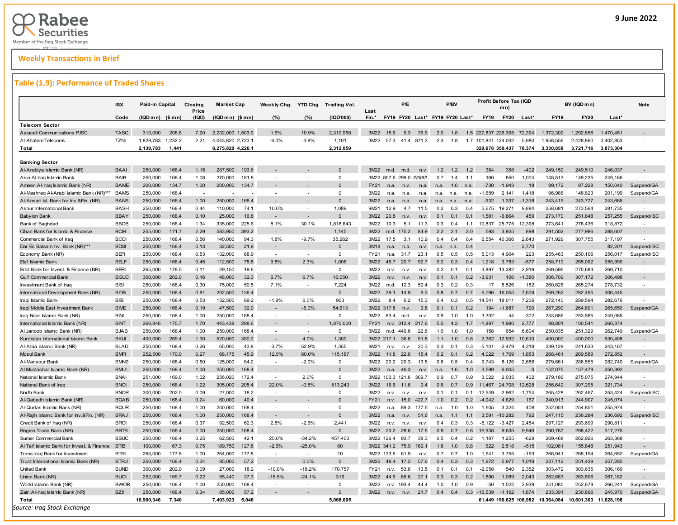# **Weekly Transactions in Brief**

# **Table (1.9): Performance of Traded Shares**

|                                            | <b>ISX</b>  | Paid-in Capital   |         | Closing<br>Price | <b>Market Cap</b>  | Weekly Chg.              | <b>YTD Chg</b>           | <b>Trading Vol.</b> |               |                                 | P/E   |       |      | P/BV |     |             | Profit Before Tax (IQD<br>mn) |          |                                   | BV (IQD mn) |            | <b>Note</b>              |
|--------------------------------------------|-------------|-------------------|---------|------------------|--------------------|--------------------------|--------------------------|---------------------|---------------|---------------------------------|-------|-------|------|------|-----|-------------|-------------------------------|----------|-----------------------------------|-------------|------------|--------------------------|
|                                            | Code        | $(IQDmn)$ (\$ mn) |         | (IQD)            | $(IQDmn)$ $($mn)$  | (%)                      | (%)                      | (IQD'000)           | Last<br>Fin.* | FY19 FY20 Last* FY19 FY20 Last* |       |       |      |      |     | <b>FY19</b> | <b>FY20</b>                   | Last*    | FY19                              | <b>FY20</b> | Last*      |                          |
| <b>Telecom Sector</b>                      |             |                   |         |                  |                    |                          |                          |                     |               |                                 |       |       |      |      |     |             |                               |          |                                   |             |            |                          |
| <b>Asiacell Communications PJSC</b>        | <b>TASC</b> | 310,000           | 208.8   | 7.20             | 2,232,000 1,503.0  | 1.6%                     | 10.9%                    | 2,310,958           | 3M22          | 15.6                            | 9.3   | 36.9  | 2.0  | 1.8  | 1.5 |             | 227.837 226.395               | 72.394   | 1.372.302                         | 1,292,856   | 1,470,451  |                          |
| Al-Khatem Telecoms                         | <b>TZNI</b> | 1,829,783         | 1,232.2 | 2.21             | 4,043,820 2,723.1  | $-6.0%$                  | $-3.9%$                  | 1,101               | 3M22          | 57.3 41.4 871.3                 |       |       | 2.3  | 1.8  |     |             | 1.7 101,841 124,042           | 5,980    | 1,958,556                         | 2,428,860   | 2,402,853  |                          |
| Total                                      |             | 2,139,783         | 1,441   |                  | 6,275,820 4,226.1  |                          |                          | 2,312,059           |               |                                 |       |       |      |      |     |             | 329,678 350,437 78,374        |          | 3,330,858                         | 3,721,716   | 3,873,304  |                          |
|                                            |             |                   |         |                  |                    |                          |                          |                     |               |                                 |       |       |      |      |     |             |                               |          |                                   |             |            |                          |
| <b>Banking Sector</b>                      |             |                   |         |                  |                    |                          |                          |                     |               |                                 |       |       |      |      |     |             |                               |          |                                   |             |            |                          |
| Al-Arabiya Islamic Bank (NR)               | <b>BAAI</b> | 250,000           | 168.4   | 1.15             | 193.6<br>287,500   |                          |                          | $\Omega$            | 3M22          | m.d.                            | m.d.  | n.v   | 1.2  | 1.2  | 1.2 | 384         | 358                           | $-402$   | 249,150                           | 249,510     | 246.037    |                          |
| Asia Al Iraq Islamic Bank                  | <b>BAIB</b> | 250,000           | 168.4   | 1.08             | 270,000<br>181.8   | $\overline{a}$           |                          | $\mathbf 0$         |               | 3M22 807.6 299.0 #####          |       |       | 0.7  | 1.4  | 1.1 | 160         | 850                           | 1,004    | 148,513                           | 149,235     | 249,166    |                          |
| Ameen Al-Iraq Islamic Bank (NR)            | <b>BAME</b> | 200,000           | 134.7   | 1.00             | 200,000<br>134.7   |                          |                          | $\Omega$            | <b>FY21</b>   | n.a.                            | n.v.  | n.a.  | n.a. | 1.0  | n.a | $-730$      | $-1.943$                      | 18       | 99,172                            | 97,228      | 150,040    | Suspend/GA               |
| Al-Mashreq Al-Arabi Islamic Bank (NR)***   | <b>BAMS</b> | 250,000           | 168.4   | $\sim$           |                    |                          |                          | $\mathbf 0$         | 3M22          | n.a.                            | n.a.  | n.a.  | n.a. | n.a. | n.a | $-1,689$    | 2,141                         | 1,418    | 96,986                            | 148,823     | 201,199    | Suspend/GA               |
| Al-Ansari Isl. Bank for Inv.&Fin. (NR)     | <b>BANS</b> | 250,000           | 168.4   | 1.00             | 250,000<br>168.4   | $\sim$                   |                          | $\Omega$            | 3M22          | n <sub>a</sub>                  | n.a   | n.a   | n.a. | n.a. | n.a | $-932$      | 1.337                         | $-1,318$ | 243,419                           | 243,777     | 243,666    |                          |
| Ashur International Bank                   | <b>BASH</b> | 250,000           | 168.4   | 0.44             | 110,000<br>74.1    | 10.0%                    |                          | 1,089               | 9M21          | 12.9                            | 4.7   | 11.5  | 0.2  | 0.3  | 0.4 | 5,675       | 19,271                        | 9,884    | 258,681                           | 273,564     | 281,735    |                          |
| <b>Babylon Bank</b>                        | <b>BBAY</b> | 250,000           | 168.4   | 0.10             | 25,000<br>16.8     |                          |                          | $\Omega$            | 3M22          | 20.8                            | n.v   | n.v.  | 0.1  | 0.1  | 0.1 | 1,581       | $-6,864$                      | 459      | 273,170                           | 251,848     | 257,255    | Suspend/ISC              |
| Bank of Baghdad                            | <b>BBOB</b> | 250,000           | 168.4   | 1.34             | 335,000<br>225.6   | 8.1%                     | 30.1%                    | 1,818,643           | 3M22          | 10.3                            | 5.1   | 11.3  | 0.3  | 0.4  | 1.1 | 10,837      | 25,775                        | 12,398   | 273,641                           | 278,436     | 318,872    | $\sim$                   |
| Cihan Bank for Islamic & Finance           | <b>BCIH</b> | 255,000           | 171.7   | 2.29             | 583,950<br>393.2   |                          |                          | 1,145               | 3M22          | m.d.                            | 175.2 | 84.9  | 2.2  | 2.1  | 2.0 | 593         | 3.925                         | 898      | 291,502                           | 277,986     | 288,607    |                          |
| Commercial Bank of Iraq                    | <b>BCO</b>  | 250,000           | 168.4   | 0.56             | 140,000<br>94.3    | 1.8%                     | $-9.7%$                  | 35,262              | 3M22          | 17.5                            | 3.1   | 10.9  | 0.4  | 0.4  | 0.4 | 6,554       | 40,366                        | 2,643    | 271,929                           | 307,755     | 317,197    |                          |
| Dar Es Salaam Inv. Bank (NR)***            | <b>BDSI</b> | 250,000           | 168.4   | 0.13             | 32,500<br>21.9     |                          |                          | $\mathbf{0}$        | 3M18          |                                 | n.a.  | n.v.  | n.a. | n.a  | 0.4 |             |                               | 2.770    |                                   |             | 82,201     | Suspend/ISC              |
| Economy Bank (NR)                          | <b>BEFI</b> | 250,000           | 168.4   | 0.53             | 132,000<br>88.9    | $\sim$                   | $\overline{a}$           | $\Omega$            | <b>FY21</b>   | n a                             | 31.7  | 23.1  | 0.5  | 0.5  | 0.5 | 5.013       | 4,904                         | 223      | 255,463                           | 250.106     | 256,017    | Suspend/ISC              |
| <b>Elaf Islamic Bank</b>                   | <b>BELF</b> | 250,000           | 168.4   | 0.45             | 75.8<br>112,500    | 9.8%                     | 2.3%                     | 1.006               | 3M22          | 46.7                            | 20.7  | 92.7  | 0.2  | 0.3  | 04  | 1.218       | 3.783                         | $-577$   | 258,710                           | 265,092     | 255.990    |                          |
| Erbil Bank for Invest. & Finance (NR)      | <b>BERI</b> | 265.000           | 178.5   | 0.11             | 19.6<br>29,150     | $\overline{\phantom{a}}$ | $\overline{\phantom{a}}$ | $\Omega$            | 3M22          | n v                             | n.v   | n.v   | 0.2  | 0.1  | 0.1 |             | $-3.897 - 13.382$             | 2.919    | 269.596                           | 275,684     | 269.710    | $\overline{a}$           |
| <b>Gulf Commercial Bank</b>                | <b>BGUC</b> | 300,000           | 202.0   | 0.16             | 32.3<br>48,000     | 6.7%                     | 6.7%                     | 16.050              | 3M22          | n.v.                            | n.v.  | n.v.  | 0.1  | 0.1  | 0.2 | $-3,931$    | 106                           | $-1,380$ | 306,709                           | 307,172     | 306,498    |                          |
| Investment Bank of Iraq                    | <b>BIBI</b> | 250.000           | 168.4   | 0.30             | 75,000<br>50.5     | 7.1%                     |                          | 7.224               | 3M22          | m.d.                            | 12.3  | 59.4  | 0.3  | 0.2  | 0.3 | 17          | 5.526                         | 182      | 260.626                           | 265.274     | 278.732    |                          |
| International Development Bank (NR)        | <b>BIDB</b> | 250,000           | 168.4   | 0.81             | 202,500<br>136.4   | $\sim$                   |                          | $\Omega$            | 3M22          | 39.1                            | 14.9  | 9.3   | 0.8  | 0.7  | 0.7 | 6,096       | 16,055                        | 7,609    | 269,262                           | 282,495     | 306,445    |                          |
| Iraqi Islamic Bank                         | <b>BIB</b>  | 250,000           | 168.4   | 0.53             | 132,500<br>89.2    | $-1.9%$                  | 6.0%                     | 903                 | 3M22          | 84                              | 6.2   | 15.3  | 0.4  | 0.3  | 0.5 | 14,541      | 18,011                        | 7,206    | 272,140                           | 289,594     | 282,676    |                          |
| Iraqi Middle East Investment Bank          | <b>BIME</b> | 250,000           | 168.4   | 0.19             | 47,500<br>32.0     |                          | $-5.0%$                  | 54,613              |               | 3M22 317.8                      | n.v   | 9.8   | 0.1  | 0.1  | 02  | 194         | $-1,687$                      | 720      | 267,290                           | 264,891     | 265,650    | Suspend/GA               |
| Iraq Noor Islamic Bank (NR)                | <b>BINI</b> | 250,000           | 168.4   | 1.00             | 250,000<br>168.4   |                          |                          | $\mathbf 0$         | 3M22          | 83.4                            | m.d.  | n.v.  | 0.9  | 1.0  | 1.0 | 3,302       | 44                            | $-302$   | 253,686                           | 253,585     | 249,085    |                          |
| International Islamic Bank (NR)            | <b>BINT</b> | 260,846           | 175.7   | 1.70             | 443,438<br>298.6   |                          |                          | 1,870,000           | FY21          | 312.4<br>n.v.                   |       | 217.6 | 5.0  | 4.2  | 1.7 | $-1,897$    | 1,980                         | 2,777    | 98,801                            | 100,541     | 260,374    |                          |
| Al Janoob Islamic Bank (NR)                | <b>BJAB</b> | 250,000           | 168.4   | 1.00             | 250,000<br>168.4   | $\overline{a}$           | $\overline{a}$           | $\mathsf 0$         | 3M22          | m.d. 449.6                      |       | 22.6  | 1.0  | 1.0  | 1.0 | 158         | 654                           | 6,604    | 250,835                           | 251,329     | 262,749    | Suspend/GA               |
| Kurdistan International Islamic Bank       | <b>BKUI</b> | 400,000           | 269.4   | 1.30             | 520,000<br>350.2   | $\sim$                   | 4.0%                     | 1,300               |               | 3M22 217.1                      | 36.8  | 51.8  | 1.1  | 1.0  | 0.8 | 2.362       | 12,932                        | 10,610   | 400,000                           | 400,000     | 630,408    |                          |
| Al-Ataa Islamic Bank (NR)                  | <b>BLAD</b> | 250,000           | 168.4   | 0.26             | 65,000<br>43.8     | $-3.7%$                  | 52.9%                    | 1,355               | 9M21          | n.v.                            | n.v   | 20.3  | 0.3  | 0.1  | 0.3 | $-5,101$    | $-2,479$                      | 4,318    | 239,129                           | 241,633     | 243,167    | $\sim$                   |
| <b>Mosul Bank</b>                          | <b>BMFI</b> | 252,500           | 170.0   | 0.27             | 68,175<br>45.9     | 12.5%                    | 80.0%                    | 115,187             | 3M22          | 11.8                            | 22.6  | 15.4  | 0.2  | 0.1  | 0.2 | 4,022       | 1,709                         | 1,853    | 268,461                           | 269,589     | 272,852    |                          |
| Al-Mansour Bank                            | <b>BMNS</b> | 250,000           | 168.4   | 0.50             | 125,000<br>84.2    | $\sim$                   | $-2.0%$                  | $\mathsf 0$         | 3M22          | 20.2                            | 20.3  | 13.5  | 0.6  | 0.5  | 0.4 | 9,743       | 8,126                         | 2,686    | 279,661                           | 286,555     | 282,740    | Suspend/GA               |
| Al Mustashar Islamic Bank (NR)             | <b>BMUI</b> | 250,000           | 168.4   | 1.00             | 250,000<br>168.4   | $\sim$                   | $\sim$                   | $\Omega$            | 3M22          | n.a.                            | 46.3  | n.v   | n.a. | 1.6  | 1.0 | 3.599       | 6.005                         | $\Omega$ | 152,075                           | 157,479     | 250,392    |                          |
| National Islamic Bank                      | <b>BNAI</b> | 251,000           | 169.0   | 1.02             | 256,020<br>172.4   | $\overline{a}$           | 2.0%                     | $\mathbf 0$         |               | 3M22 100.3 121.6                |       | 309.7 | 0.9  | 0.7  | 0.9 | 3,022       | 2,035                         | 402      | 279,186                           | 275,075     | 274,944    | $\overline{a}$           |
| National Bank of Iraq                      | <b>BNOI</b> | 250,000           | 168.4   | 1.22             | 205.4<br>305,000   | 22.0%                    | $-0.8%$                  | 513.243             | 3M22          | 16.6                            | 11.6  | 9.4   | 0.6  | 0.7  | 0.9 | 11.467      | 24,708                        | 12.628   | 256,642                           | 307,295     | 321,734    |                          |
| North Bank                                 | <b>BNOR</b> | 300,000           | 202.0   | 0.09             | 18.2<br>27,000     |                          |                          | $\mathbf 0$         | 3M22          | n.v.                            | n.v   | n.v   | 0.1  | 0.1  | 0.1 | $-12.549$   | $-2,962$                      | $-1,754$ | 265,428                           | 262,467     | 253,424    | Suspend/ISC              |
| Al-Qabedh Islamic Bank (NR)                | <b>BQAB</b> | 250,000           | 168.4   | 0.24             | 40.4<br>60,000     |                          |                          | $\Omega$            | FY21          | n.v.                            | 15.0  | 422.7 | 1.0  | 0.2  | 0.2 | $-4.042$    | 4.629                         | 167      | 240,913                           | 244,907     | 245,074    |                          |
| Al-Qurtas Islamic Bank (NR)                | <b>BQUR</b> | 250,000           | 168.4   | 1.00             | 168.4<br>250,000   | $\overline{a}$           |                          | $\Omega$            | 3M22          | n.a.                            | 89.3  | 177.5 | n.a. | 1.0  | 1.0 | 1,605       | 3,324                         | 408      | 252,051                           | 254,851     | 255,974    |                          |
| Al-Rajih Islamic Bank for Inv.&Fin. (NR)   | <b>BRAJ</b> | 250,000           | 168.4   | 1.00             | 250,000<br>168.4   |                          |                          | $\Omega$            | 3M22          | n.a.                            | n.v.  | 51.6  | n.a. | 1.1  |     | 3.591       | $-10.282$                     | 792      | 247,115                           | 236,284     | 236,692    | Suspend/ISC              |
| Credit Bank of Iraq (NR)                   | <b>BROI</b> | 250,000           | 168.4   | 0.37             | 92,500<br>62.3     | 2.8%                     | $-2.6%$                  | 2,441               | 3M22          | n.v.                            | n.v.  | n.v.  | 0.4  | 0.3  | 0.3 | $-5,122$    | $-3,427$                      | 2,454    | 297,127                           | 293,699     | 290,811    | $\overline{\phantom{a}}$ |
| Region Trade Bank (NR)                     | <b>BRTB</b> | 250,000           | 168.4   | 1.00             | 168.4<br>250,000   |                          |                          | $\mathbf{0}$        | 3M22          | 20.2                            | 28.6  | 17.5  | 0.9  | 0.7  | 0.8 | 16.938      | 9,635                         | 9.946    | 290,787                           | 298,422     | 317,275    |                          |
| Sumer Commercial Bank                      | <b>BSUC</b> | 250,000           | 168.4   | 0.25             | 42.1<br>62,500     | 25.0%                    | $-34.2%$                 | 457.400             |               | 3M22 126.4                      | 93.7  | 38.3  | 0.5  | 0.4  | 0.2 | 1.187       | 1,255                         | $-629$   | 269,468                           | 262,926     | 263,368    | $\overline{a}$           |
| Al Taif Islamic Bank for Invest. & Finance | <b>BTIB</b> | 100,000           | 67.3    | 0.75             | 127.8<br>189,750   | $-2.6%$                  | $-25.0%$                 | 60                  |               | 3M22 341.2                      | 75.9  | 169.1 | 1.8  | 1.0  | 0.8 | 622         | 2,518                         | $-515$   | 102,081                           | 155,848     | 251,943    |                          |
| Trans Iraq Bank for Investment             | <b>BTRI</b> | 264.000           | 177.8   | 1.00             | 264.000<br>177.8   | $\sim$                   | $\sim$                   | 10                  |               | 3M22 133.6                      | 61.9  | n.v   | 0.7  | 0.7  | 1.0 | 1.641       | 3,755                         | $-163$   | 266,941                           | 268.194     | 264,652    | Suspend/GA               |
| Trust International Islamic Bank (NR)      | <b>BTRU</b> | 250,000           | 168.4   | 0.34             | 85,000<br>57.2     | $\sim$                   | 0.0%                     | $\Omega$            | 3M22          | 48.4                            | 17.2  | 57.6  | 0.4  | 0.3  | 0.3 | 1,972       | 5.977                         | 1,019    | 237,112                           | 251,439     | 257,285    |                          |
| <b>United Bank</b>                         | <b>BUND</b> | 300.000           | 202.0   | 0.09             | 27,000<br>18.2     | $-10.0%$                 | $-18.2%$                 | 170.757             | FY21          | n.v.                            | 53.6  | 13.5  | 0.1  | 0.1  | 0.1 | $-2.058$    | 540                           | 2.352    | 303.472                           | 303.635     | 306.169    |                          |
| Union Bank (NR)                            | <b>BUOI</b> | 252,000           | 169.7   | 0.22             | 55,440<br>37.3     | $-18.5%$                 | $-24.1%$                 | 316                 | 3M22          | 44.9                            | 85.6  | 27.1  | 0.3  | 0.3  | 0.2 | 1.890       | 1,089                         | 2,043    | 262,683                           | 263,506     | 267,182    |                          |
| World Islamic Bank (NR)                    | <b>BWOR</b> | 250.000           | 168.4   | 1.00             | 250.000<br>168.4   |                          |                          | $\mathbf 0$         | 3M22          | n.v. 193.4                      |       | 44.4  | 1.0  | 1.0  | 0.9 | $-50$       | 1.522                         | 2.939    | 251.080                           | 252.679     | 266,241    | Suspend/GA               |
| Zain Al-Iraq Islamic Bank (NR)             | <b>BZII</b> | 250,000           | 168.4   | 0.34             | 57.2<br>85,000     |                          |                          | $\Omega$            | 3M22          | n.v.                            | n.v.  | 21.7  | 0.4  | 0.4  | 0.3 | $-16,539$   | $-1,192$                      | 1,674    | 233,391                           | 230,896     | 245,970    | Suspend/GA               |
| Total                                      |             | 10,900,346        | 7,340   |                  | 5,046<br>7,493,923 |                          |                          | 5,068,005           |               |                                 |       |       |      |      |     |             |                               |          | 61,449 190,625 108,982 10,364,084 | 10,601,303  | 11,628,198 |                          |
| Source: Iraq Stock Exchange                |             |                   |         |                  |                    |                          |                          |                     |               |                                 |       |       |      |      |     |             |                               |          |                                   |             |            |                          |
|                                            |             |                   |         |                  |                    |                          |                          |                     |               |                                 |       |       |      |      |     |             |                               |          |                                   |             |            |                          |

Ī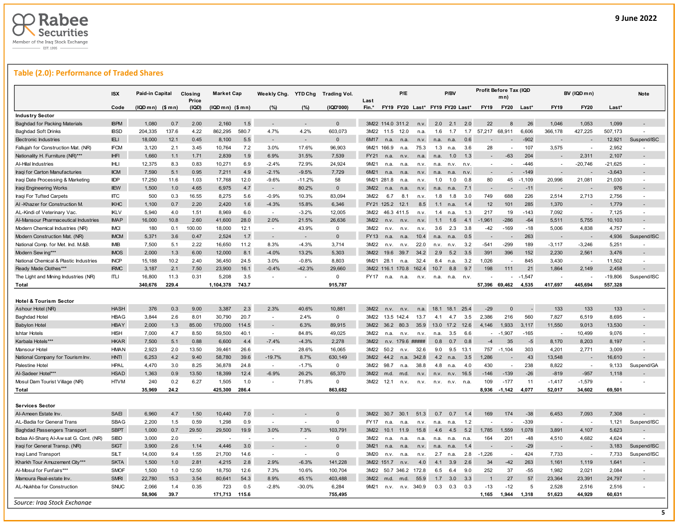

# **Table (2.0): Performance of Traded Shares**

|                                        | <b>ISX</b>                 | Paid-in Capital   |            | <b>Closing</b><br>Price | <b>Market Cap</b> |       | Weekly Chg.              | <b>YTD Chg</b>           | <b>Trading Vol.</b> | Last         |             | P/E              |                                 |           | P/BV      |      |                          | Profit Before Tax (IQD<br>mn |                |                          | BV (IQD mn)    |                | Note                     |
|----------------------------------------|----------------------------|-------------------|------------|-------------------------|-------------------|-------|--------------------------|--------------------------|---------------------|--------------|-------------|------------------|---------------------------------|-----------|-----------|------|--------------------------|------------------------------|----------------|--------------------------|----------------|----------------|--------------------------|
|                                        | Code                       | $(IQDmn)$ $($mn)$ |            | (IQD)                   | (IQD mn) (\$ mn)  |       | (%)                      | (%)                      | (IQD'000)           | Fin.*        |             |                  | FY19 FY20 Last* FY19 FY20 Last* |           |           |      | <b>FY19</b>              | <b>FY20</b>                  | Last*          | <b>FY19</b>              | <b>FY20</b>    | Last*          |                          |
| <b>Industry Sector</b>                 |                            |                   |            |                         |                   |       |                          |                          |                     |              |             |                  |                                 |           |           |      |                          |                              |                |                          |                |                |                          |
| <b>Baghdad for Packing Materials</b>   | <b>IBPM</b>                | 1,080             | 0.7        | 2.00                    | 2,160             | 1.5   | $\overline{\phantom{a}}$ | $\overline{\phantom{a}}$ | $\overline{0}$      |              |             | 3M22 114.0 311.2 | n.v.                            | 2.0       | 2.1       | 2.0  | 22                       |                              | 26             | 1,046                    | 1,053          | 1,099          |                          |
| <b>Baghdad Soft Drinks</b>             | <b>IBSD</b>                | 204,335           | 137.6      | 4.22                    | 862,295           | 580.7 | 4.7%                     | 4.2%                     | 603,073             | 3M22         | 11.5        | 12.0             | n.a                             | 1.6       | 1.7       | 1.7  | 57,217                   | 68,911                       | 6,606          | 366,178                  | 427,225        | 507,173        |                          |
| <b>Electronic Industries</b>           | <b>IELI</b>                | 18,000            | 12.1       | 0.45                    | 8,100             | 5.5   |                          | $\overline{\phantom{a}}$ | 0                   | 6M17         | n.a.        | n.a.             | n.v.                            | n.a.      | n.a.      | 0.6  |                          |                              | $-902$         |                          |                | 12,921         | Suspend/ISC              |
| Fallujah for Construction Mat. (NR)    | <b>IFCM</b>                | 3,120             | 2.1        | 3.45                    | 10,764            | 7.2   | 3.0%                     | 17.6%                    | 96,903              | 9M21         | 166.9       | n.a.             | 75.3                            | 1.3       | n.a.      | 3.6  | 28                       |                              | 107            | 3,575                    |                | 2,952          |                          |
| Nationality H. Furniture (NR)***       | <b>IHFI</b>                | 1,660             | 1.1        | 1.71                    | 2,839             | 1.9   | 6.9%                     | 31.5%                    | 7,539               | <b>FY21</b>  | n.a.        | n.v              | n.a.                            | n.a.      | 1.0       | 1.3  | $\overline{\phantom{a}}$ | $-63$                        | 204            |                          | 2,311          | 2,107          |                          |
| Al-Hilal Industries                    | <b>IHLI</b>                | 12.375            | 8.3        | 0.83                    | 10,271            | 6.9   | $-2.4%$                  | 72.9%                    | 24.924              | 9M21         | n.a.        | n.a              | n.v.                            | n.a.      | n.v.      | n.v  | $\sim$                   |                              | $-446$         |                          | $-20.746$      | $-21.625$      |                          |
| Iraqi for Carton Manufacturies         | <b>IICM</b>                | 7,590             | 5.1        | 0.95                    | 7,211             | 4.9   | $-2.1%$                  | $-9.5%$                  | 7,729               | 6M21         | n.a         | n.a              |                                 | n.a       |           | n.v. |                          |                              | $-149$         |                          |                | $-3,643$       |                          |
| Iraqi Date Processing & Marketing      | <b>IIDP</b>                | 17,250            | 11.6       | 1.03                    | 17,768            | 12.0  | $-9.6%$                  | $-11.2%$                 | 58                  | 9M21 281.8   |             | n.a              | n.v                             | 1.0       | 1.0       | 0.8  | 80                       | 45                           | $-1,109$       | 20,996                   | 21,081         | 21,030         | $\overline{\phantom{a}}$ |
| Iraqi Engineering Works                | <b>IIEW</b>                | 1,500             | 1.0        | 4.65                    | 6,975             | 4.7   | $\overline{\phantom{a}}$ | 80.2%                    | $\mathbf 0$         | 3M22         | n.a.        | n.a.             | n.v.                            | n.a.      | n.a.      | 7.1  |                          |                              | $-11$          |                          |                | 976            |                          |
| Iraqi For Tufted Carpets               | <b>IITC</b>                | 500               | 0.3        | 16.55                   | 8,275             | 5.6   | $-0.9%$                  | 10.3%                    | 83,094              | 3M22         | 6.7         | 8.1              | n.v.                            | 1.8       | 1.8       | 3.0  | 749                      | 688                          | 226            | 2,514                    | 2,713          | 2,756          | $\sim$                   |
| AI-Khazer for Construction M           | <b>IKHC</b>                | 1,100             | 0.7        | 2.20                    | 2,420             | 1.6   | $-4.3%$                  | 15.8%                    | 6,346               | FY21 125.2   |             | 12.1             | 8.5                             | 1.1       | n.a.      | 1.4  | 12                       | 101                          | 285            | 1,370                    |                | 1,779          | $\overline{\phantom{a}}$ |
| AL-Kindi of Veterinary Vac             | <b>IKLV</b>                | 5,940             | 4.0        | 1.51                    | 8,969             | 6.0   | $\sim$                   | $-3.2%$                  | 12,005              | 3M22         |             | 46.3 411.5       | n.v.                            | 1.4       | n.a.      | 1.3  | 217                      | 19                           | $-143$         | 7,092                    |                | 7,125          |                          |
| Al-Mansour Pharmaceutical Industries   | <b>IMAP</b>                | 16,000            | 10.8       | 2.60                    | 41,600            | 28.0  | 2.0%                     | 21.5%                    | 26,636              | 3M22         | n.v.        | n.v              | n.v.                            | 1.1       | 1.6       | 4.1  | $-1,961$                 | $-286$                       | $-64$          | 5,511                    | 5,755          | 10,103         |                          |
| Modern Chemical Industries (NR)        | <b>IMCI</b>                | 180               | 0.1        | 100.00                  | 18,000            | 12.1  | $\sim$                   | 43.9%                    | $\Omega$            | 3M22         | n.v.        | n.v.             | n.v                             | 3.6       | 2.3       | 3.8  | $-42$                    | $-169$                       | $-18$          | 5,006                    | 4,838          | 4,757          |                          |
| Modern Construction Mat. (NR)          | <b>IMCM</b>                | 5,371             | 3.6        | 0.47                    | 2,524             | 1.7   |                          |                          | $\mathbf{0}$        | FY13         | n.a.        | n.a.             | 10.4                            | n.a.      | n.a.      | 0.5  |                          |                              | 263            |                          |                | 4,936          | Suspend/ISC              |
| National Comp. for Met. Ind. M.&B.     | <b>IMB</b>                 | 7,500             | 5.1        | 2.22                    | 16,650            | 11.2  | 8.3%                     | $-4.3%$                  | 3,714               | 3M22         | n.v.        | n.v.             | 22.0                            | n.v.      | n.v.      | 3.2  | $-541$                   | $-299$                       | 189            | $-3,117$                 | $-3,246$       | 5,251          |                          |
| Modern Sew ing***                      | <b>IMOS</b>                | 2.000             | 1.3        | 6.00                    | 12.000            | 8.1   | $-4.0%$                  | 13.2%                    | 5.303               | 3M22         | 19.6        | 39.7             | 34.2                            | 2.9       | 5.2       | 3.5  | 391                      | 396                          | 152            | 2,230                    | 2.561          | 3,476          |                          |
| National Chemical & Plastic Industries | <b>INCP</b>                | 15,188            | 10.2       | 2.40                    | 36,450            | 24.5  | 3.0%                     | $-0.8%$                  | 8,803               | 9M21         | 28.1        | n.a.             | 32.4                            | 8.4       | n.a.      | 3.2  | 1,026                    |                              | 845            | 3,430                    |                | 11,502         |                          |
| Ready Made Clothes***                  | <b>IRMC</b>                | 3,187             | 2.1        | 7.50                    | 23,900            | 16.1  | $-0.4%$                  | $-42.3%$                 | 29,660              | 3M22         | 1161        | 170.8            | 162.4                           | 10.7      | 8.8       | 9.7  | 198                      | 111                          | 21             | 1,864                    | 2,149          | 2,458          |                          |
| The Light and Mining Industries (NR)   | ITLI                       | 16,800            | 11.3       | 0.31                    | 5,208             | 3.5   | $\overline{a}$           | $\blacksquare$           | $\mathbf 0$         | <b>FY17</b>  | n.a.        | n.a.             | n.v.                            | n.a.      | n.a.      | n.v. |                          |                              | $-1,547$       |                          |                | $-19,806$      | Suspend/ISC              |
| Total                                  |                            | 340,676           | 229.4      |                         | 1,104,378         | 743.7 |                          |                          | 915,787             |              |             |                  |                                 |           |           |      | 57,396 69,462            |                              | 4,535          | 417,697                  | 445,694        | 557,328        |                          |
|                                        |                            |                   |            |                         |                   |       |                          |                          |                     |              |             |                  |                                 |           |           |      |                          |                              |                |                          |                |                |                          |
| <b>Hotel &amp; Tourism Sector</b>      |                            |                   |            |                         |                   |       |                          |                          |                     |              |             |                  |                                 |           |           |      |                          |                              |                |                          |                |                |                          |
| Ashour Hotel (NR)                      | <b>HASH</b>                | 376               | 0.3        | 9.00                    | 3,387             | 2.3   | 2.3%                     | 40.6%                    | 10,881              | 3M22         | n.v.        | n.v              | n.a.                            | 18.1      | 18.1      | 25.4 | $-29$                    | $\Omega$                     |                | 133                      | 133            | 133            |                          |
| <b>Baghdad Hotel</b>                   | <b>HBAG</b>                | 3,844             | 2.6        | 8.01                    | 30,790            | 20.7  | $\overline{\phantom{a}}$ | 2.4%                     | $\mathbf{0}$        | 3M22         |             | 13.5 142.4       | 13.7                            | 41        | 4.7       | 3.5  | 2,386                    | 216                          | 560            | 7,827                    | 6,519          | 8,695          | $\overline{a}$           |
| <b>Babylon Hotel</b>                   | <b>HBAY</b>                | 2,000             | 1.3        | 85.00                   | 170,000           | 114.5 |                          | 6.3%                     | 89,915              | 3M22         |             | 36.2 80.3        | 35.9                            |           | 13.0 17.2 | 12.6 | 4,146                    | 1,933                        | 3,117          | 11,550                   | 9,013          | 13,530         |                          |
| <b>Ishtar Hotels</b>                   | <b>HISH</b>                | 7,000             | 4.7        | 8.50                    | 59,500            | 40.1  | $\sim$                   | 84.8%                    | 49,025              | 3M22         | n.a         | n.v              | n.v                             | n.a.      | 3.5       | 6.6  |                          | $-1,907$                     | $-165$         |                          | 10,499         | 9,076          |                          |
| Karbala Hotels***                      | <b>HKAR</b>                | 7,500             | 5.1        | 0.88                    | 6,600             | 4.4   | $-7.4%$                  | $-4.3%$                  | 2,278               | 3M22         | n.v.        |                  | 179.6 #####                     | 0.8       | 0.7       | 0.8  | $-4$                     | 35                           | $-5$           | 8,170                    | 8,203          | 8,197          |                          |
| Mansour Hotel                          | <b>HMAN</b>                | 2.923             | 2.0        | 13.50                   | 39,461            | 26.6  | $\sim$                   | 28.6%                    | 16,065              | 3M22         | 50.2        | n.v.             | 32.6                            | 9.0       | 9.5       | 13.1 | 757                      | $-1,104$                     | 303            | 4,201                    | 2.771          | 3,009          |                          |
| National Company for Tourism Inv       | <b>HNTI</b>                | 6,253             | 4.2        | 9.40                    | 58,780            | 39.6  | $-19.7%$                 | 8.7%                     | 630,149             | 3M22         | 44.2        | n.a.             | 342.8                           | 4.2       | n.a       | 3.5  | 1,286                    |                              | 43             | 13,548                   |                | 16,610         |                          |
| Palestine Hotel                        | <b>HPAL</b>                | 4,470             | 3.0        | 8.25                    | 36,878            | 24.8  | $\sim$                   | $-1.7%$                  | $\mathbf{0}$        | 3M22         | 98.7        | n.a              | 38.8                            | 4.8       | n.a.      | 4.0  | 430                      | $\sim$                       | 238            | 8,822                    | $\overline{a}$ | 9,133          | Suspend/GA               |
| Al-Sadeer Hotel***                     | <b>HSAD</b>                | 1.363             | 0.9        | 13.50                   | 18.399            | 12.4  | $-6.9%$                  | 26.2%                    | 65.370              | 3M22         | m.d.        | m.d.             | n.v.                            | n.v.      | n.v.      | 16.5 | $-146$                   | $-139$                       | $-26$          | $-819$                   | $-957$         | 1,118          |                          |
| Mosul Dam Tourist Village (NR)         | <b>HTVM</b>                | 240               | 0.2        | 6.27                    | 1,505             | 1.0   | $\overline{\phantom{a}}$ | 71.8%                    | $\mathbf 0$         | 3M22         | 12.1        | n.v.             | n.v.                            | n.v.      | n.v.      | n.a. | 109                      | $-177$                       | 11             | $-1,417$                 | $-1,579$       |                |                          |
| Total                                  |                            | 35,969            | 24.2       |                         | 425,300           | 286.4 |                          |                          | 863,682             |              |             |                  |                                 |           |           |      | 8,936                    | $-1,142$                     | 4,077          | 52,017                   | 34,602         | 69,501         |                          |
|                                        |                            |                   |            |                         |                   |       |                          |                          |                     |              |             |                  |                                 |           |           |      |                          |                              |                |                          |                |                |                          |
| <b>Services Sector</b>                 |                            |                   |            |                         |                   |       |                          |                          |                     |              |             |                  |                                 |           |           |      |                          |                              |                |                          |                |                |                          |
| Al-Ameen Estate Inv.                   | SAE                        | 6,960             | 4.7        | 1.50                    | 10,440            | 7.0   |                          |                          | $\Omega$            | 3M22         | 30.7        | 30.1             | 51.3                            | 0.7       | 0.7       | 1.4  | 169                      | 174                          | $-38$          | 6,453                    | 7,093          | 7,308          |                          |
| AL-Badia for General Trans             | <b>SBAG</b>                | 2.200             | 1.5        | 0.59                    | 1.298             | 0.9   | ÷,                       |                          | $\Omega$            | <b>FY17</b>  | n.a.        | n.a              | n.v.                            | n.a.      | n.a.      | 1.2  |                          |                              | $-339$         | $\overline{\phantom{a}}$ |                | 1,121          | Suspend/ISC              |
|                                        |                            |                   |            |                         |                   |       |                          |                          |                     |              |             |                  |                                 |           |           |      |                          |                              |                |                          |                |                |                          |
| <b>Baghdad Passengers Transport</b>    | <b>SBPT</b><br><b>SIBD</b> | 1,000<br>3,000    | 0.7<br>2.0 | 29.50<br>$\overline{a}$ | 29,500            | 19.9  | 3.0%<br>÷.               | 7.3%                     | 103,791<br>$\Omega$ | 3M22<br>3M22 | 10.1<br>n.a | 11.9             | 15.8                            | 4.6       | 4.5       | 5.2  | 1,785<br>164             | 1,559<br>201                 | 1,078<br>$-48$ | 3,891<br>4,510           | 4,107<br>4,682 | 5,623<br>4,624 |                          |
| Ibdaa Al-Sharq Al-Aw sat G. Cont. (NR) |                            |                   |            |                         |                   |       |                          |                          | $\Omega$            |              |             | n.a              | n.a                             | n.a.      | n.a.      | n.a. |                          |                              |                |                          |                |                |                          |
| Iraqi for General Transp. (NR)         | <b>SIGT</b>                | 3,900             | 2.6        | 1.14                    | 4,446             | 3.0   | $\sim$                   | $\overline{a}$           | $\mathbf 0$         | 3M21         | n.a         | n.a              | n.v                             | n.a       | n.a       | 1.4  |                          |                              | $-29$          |                          |                | 3,183          | Suspend/ISC              |
| Iraqi Land Transport                   | SILT                       | 14,000            | 9.4        | 1.55                    | 21,700            | 14.6  |                          |                          |                     | 3M20         | n.v.        | n.a              | n.v.<br>40                      | 2.7<br>41 | n.a.      | 2.8  | $-1,226$                 |                              | 424            | 7,733                    |                | 7,733          | Suspend/ISC              |
| Kharkh Tour Amuzement City***          | <b>SKTA</b>                | 1,500             | 1.0        | 2.81                    | 4,215             | 2.8   | 2.9%                     | $-6.3%$                  | 141,228             | 3M22 151.7   |             | n.v              |                                 |           | 3.9       | 2.6  | 34                       | $-42$                        | 263            | 1,161                    | 1,119          | 1,641          |                          |
| Al-Mosul for Funfairs**                | <b>SMOF</b>                | 1,500             | 1.0        | 12.50                   | 18,750            | 12.6  | 7.3%                     | 10.6%                    | 100,704             | 3M22         |             | 50.7 346.2       | 172.8                           | 6.5       | 6.4       | 9.0  | 252                      | 37                           | $-55$          | 1,982                    | 2,021          | 2,084          |                          |
| Mamoura Real-estate Inv                | <b>SMRI</b>                | 22,780            | 15.3       | 3.54                    | 80,641            | 54.3  | 8.9%                     | 45.1%                    | 403,488             | 3M22         | m.d.        | m.d              | 55.9                            | 1.7       | 3.0       | 3.3  | $\mathbf{1}$             | 27                           | 57             | 23,364                   | 23,391         | 24,797         |                          |
| AL-Nukhba for Construction             | SNUC                       | 2,066             | 1.4        | 0.35                    | 723               | 0.5   | $-2.8%$                  | $-30.0%$                 | 6,284               | 9M21         | n.v.        | n.v.             | 340.9                           | 0.3       | 0.3       | 0.3  | $-13$                    | $-12$                        | 5              | 2,528                    | 2,516          | 2,516          |                          |
|                                        |                            | 58,906            | 39.7       |                         | 171,713           | 115.6 |                          |                          | 755,495             |              |             |                  |                                 |           |           |      | 1,165                    | 1,944                        | 1,318          | 51,623                   | 44,929         | 60,631         |                          |
| Source: Irag Stock Exchange            |                            |                   |            |                         |                   |       |                          |                          |                     |              |             |                  |                                 |           |           |      |                          |                              |                |                          |                |                | 5                        |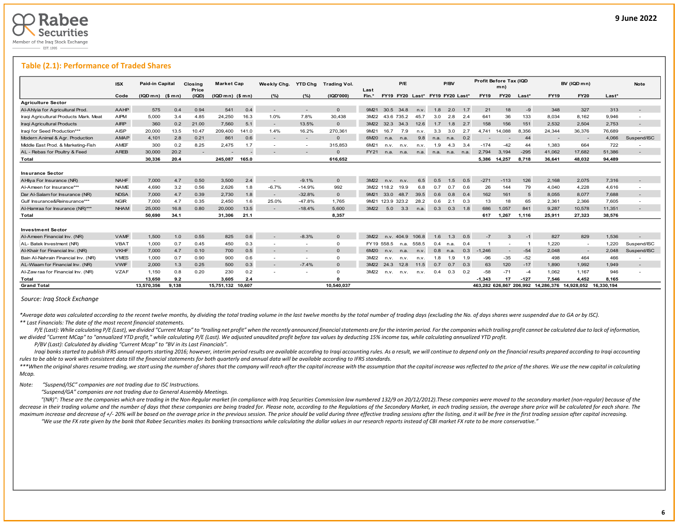L

### **Table (2.1): Performance of Traded Shares**

|                                        | <b>ISX</b>  | <b>Paid-in Capital</b> |       | Closina<br>Price | <b>Market Cap</b> |       | Weekly Chg.              | <b>YTD Chg</b> | <b>Trading Vol.</b> | Last  |             | P/E        |                                 |      | P/BV           |     |                         | Profit Before Tax (IQD<br>mn) |                 |                                    | BV (IQD m n)             |         | <b>Note</b>              |
|----------------------------------------|-------------|------------------------|-------|------------------|-------------------|-------|--------------------------|----------------|---------------------|-------|-------------|------------|---------------------------------|------|----------------|-----|-------------------------|-------------------------------|-----------------|------------------------------------|--------------------------|---------|--------------------------|
|                                        | Code        | $(IQDmn)$ (\$ mn)      |       | (IQD)            | $(IQDmn)$ $($mn)$ |       | (%)                      | (%)            | (IQD'000)           | Fin.* |             |            | FY19 FY20 Last* FY19 FY20 Last* |      |                |     | <b>FY19</b>             | <b>FY20</b>                   | $Last*$         | <b>FY19</b>                        | <b>FY20</b>              | $Last*$ |                          |
| <b>Agriculture Sector</b>              |             |                        |       |                  |                   |       |                          |                |                     |       |             |            |                                 |      |                |     |                         |                               |                 |                                    |                          |         |                          |
| Al-Ahlyia for Agricultural Prod.       | AAHP        | 575                    | 0.4   | 0.94             | 541               | 0.4   |                          |                | $\Omega$            | 9M21  | 30.5        | 34.8       | n.v.                            | 1.8  | 2.0            | 1.7 | 21                      | 18                            | $-9$            | 348                                | 327                      | 313     |                          |
| Iraqi Agricultural Products Mark. Meat | <b>AIPM</b> | 5,000                  | 3.4   | 4.85             | 24.250            | 16.3  | 1.0%                     | 7.8%           | 30,438              | 3M22  |             | 43.6 735.2 | 45.7                            | 3.0  | 2.8            | 2.4 | 641                     | 36                            | 133             | 8.034                              | 8,162                    | 9,946   | $\overline{\phantom{a}}$ |
| Iraqi Agricultural Products            | <b>AIRP</b> | 360                    | 0.2   | 21.00            | 7.560             | 5.1   |                          | 13.5%          | $\Omega$            | 3M22  | 32.3        | 34.3       | 12.6                            | 1.7  | 1.8            | 2.7 | 158                     | 156                           | 151             | 2,532                              | 2.504                    | 2.753   |                          |
| Iraqi for Seed Production***           | <b>AISP</b> | 20.000                 | 13.5  | 10.47            | 209.400           | 141.0 | 1.4%                     | 16.2%          | 270.361             | 9M21  | 16.7        | 7.9        | n.v.                            | 3.3  | 3.0            | 2.7 | 4.741                   | 14.088                        | 8.356           | 24,344                             | 36,376                   | 76,689  |                          |
| Modern Animal & Agr. Production        | <b>AMAP</b> | 4,101                  | 2.8   | 0.21             | 861               | 0.6   |                          |                | $\Omega$            | 6M20  | n.a.        | n.a.       | 9.8                             | n.a. | n.a.           | 0.2 |                         |                               | 44              |                                    | $\overline{\phantom{a}}$ | 4,066   | Suspend/ISC              |
| Middle East Prod. & Marketing-Fish     | AMEF        | 300                    | 0.2   | 8.25             | 2.475             | 1.7   |                          | $\sim$         | 315,853             | 6M21  | n.v.        | n.v.       | n.v.                            | 1.9  | 4.3            | 3.4 | $-174$                  | $-42$                         | 44              | 1,383                              | 664                      | 722     |                          |
| AL - Rebas for Poultry & Feed          | <b>AREB</b> | 30,000                 | 20.2  | $\sim$           |                   |       |                          |                | $\Omega$            | FY21  | n.a.        | n.a.       | n.a.                            |      | n.a. n.a. n.a. |     | 2.794                   | 3.194                         | $-295$          | 41,062                             | 17,682                   | 51,386  |                          |
| Total                                  |             | 30,336                 | 20.4  |                  | 245.087           | 165.0 |                          |                | 616.652             |       |             |            |                                 |      |                |     | 5.386                   | 14.257                        | 8.718           | 36,641                             | 48.032                   | 94,489  |                          |
| <b>Insurance Sector</b>                |             |                        |       |                  |                   |       |                          |                |                     |       |             |            |                                 |      |                |     |                         |                               |                 |                                    |                          |         |                          |
| AHliya For Insurance (NR)              | <b>NAHF</b> | 7,000                  | 4.7   | 0.50             | 3.500             | 2.4   | $\overline{\phantom{0}}$ | $-9.1%$        | $\Omega$            | 3M22  | n.v.        | n.v.       | 6.5                             | 0.5  | 1.5            | 0.5 | $-271$                  | $-113$                        | 126             | 2,168                              | 2,075                    | 7.316   |                          |
| Al-Ameen for Insurance***              | <b>NAME</b> | 4,690                  | 3.2   | 0.56             | 2,626             | 1.8   | $-6.7%$                  | $-14.9%$       | 992                 |       | 3M22 118.2  | 19.9       | 6.8                             | 0.7  | 0.7            | 0.6 | 26                      | 144                           | 79              | 4,040                              | 4,228                    | 4,616   | $\overline{\phantom{a}}$ |
| Dar Al-Salam for Insurance (NR)        | <b>NDSA</b> | 7,000                  | 4.7   | 0.39             | 2,730             | 1.8   | $\sim$                   | $-32.8%$       | $\mathbf{O}$        | 9M21  | 33.0        | 48.7       | 39.5                            | 0.6  | 0.8            | 0.4 | 162                     | 161                           | $5\overline{5}$ | 8,055                              | 8,077                    | 7.688   |                          |
| Gulf Insurance&Reinsurance***          | <b>NGIR</b> | 7,000                  | 4.7   | 0.35             | 2,450             | 1.6   | 25.0%                    | $-47.8%$       | 1,765               | 9M21  | 123.9 323.2 |            | 28.2                            | 0.6  | 2.1            | 0.3 | 13                      | 18                            | 65              | 2,361                              | 2,366                    | 7,605   | $\overline{\phantom{a}}$ |
| Al-Hamraa for Insurance (NR)***        | <b>NHAM</b> | 25,000                 | 16.8  | 0.80             | 20,000            | 13.5  |                          | $-18.4%$       | 5.600               | 3M22  | 5.0         | 3.3        | n.a.                            | 0.3  | 0.3            | 1.8 | 686                     | 1.057                         | 841             | 9.287                              | 10.578                   | 11,351  |                          |
| Total                                  |             | 50.690                 | 34.1  |                  | 31,306            | 21.1  |                          |                | 8,357               |       |             |            |                                 |      |                |     | 617                     | 1,267                         | 1.116           | 25,911                             | 27,323                   | 38,576  |                          |
| <b>Investment Sector</b>               |             |                        |       |                  |                   |       |                          |                |                     |       |             |            |                                 |      |                |     |                         |                               |                 |                                    |                          |         |                          |
| Al-Ameen Financial Inv. (NR)           | <b>VAMF</b> | 1,500                  | 1.0   | 0.55             | 825               | 0.6   | $\sim$                   | $-8.3%$        | $\Omega$            | 3M22  | n.v.        | 404.9      | 106.8                           | 1.6  | 1.3            | 0.5 | $-7$                    | $\mathbf{3}$                  | $-1$            | 827                                | 829                      | 1,536   |                          |
| AL-Batek Investment (NR)               | <b>VBAT</b> | 1.000                  | 0.7   | 0.45             | 450               | 0.3   |                          | $\sim$         | $\mathbf{O}$        |       | FY19 558.5  | n.a.       | 558.5                           | 0.4  | n.a.           | 0.4 |                         |                               |                 | 1.220                              | $\sim$                   | 1,220   | Suspend/ISC              |
| Al-Khair for Financial Inv. (NR)       | <b>VKHF</b> | 7,000                  | 4.7   | 0.10             | 700               | 0.5   |                          |                | $\Omega$            | 6M20  | n.v.        | n.a.       | n.v.                            | 0.8  | n.a.           | 0.3 | $-1.246$                | $\overline{\phantom{a}}$      | $-54$           | 2,048                              | $\sim$                   | 2.048   | Suspend/ISC              |
| Bain Al-Nahrain Financial Inv. (NR)    | <b>VMES</b> | 1,000                  | 0.7   | 0.90             | 900               | 0.6   |                          |                | $\mathbf{O}$        | 3M22  | n.v.        | n.v.       | n.v.                            | 1.8  | 1.9            | 1.9 | $-96$                   | $-35$                         | $-52$           | 498                                | 464                      | 466     |                          |
| AL-Wiaam for Financial Inv. (NR)       | <b>VWIF</b> | 2,000                  | 1.3   | 0.25             | 500               | 0.3   | $\overline{\phantom{0}}$ | $-7.4%$        | $\mathbf{O}$        | 3M22  | 24.3        | 12.8       | 11.5                            | 0.7  | 0.7            | 0.3 | 63                      | 120                           | $-17$           | 1,890                              | 1,992                    | 1.949   | $\overline{\phantom{a}}$ |
| Al-Zaw raa for Financial Inv. (NR)     | <b>VZAF</b> | 1.150                  | 0.8   | 0.20             | 230               | 0.2   |                          | $\sim$         | $\Omega$            | 3M22  | n.v.        | n.v.       | n.v.                            | 0.4  | 0.3            | 0.2 | $-58$                   | $-71$                         | $-4$            | 1.062                              | 1.167                    | 946     |                          |
| Total                                  |             | 13.650                 | 9.2   |                  | 3.605             | 2.4   |                          |                |                     |       |             |            |                                 |      |                |     | $-1.343$                | 17                            | $-127$          | 7.546                              | 4.452                    | 8.165   |                          |
| <b>Grand Total</b>                     |             | 13,570,356             | 9.138 |                  | 15.751.132 10.607 |       |                          |                | 10.540.037          |       |             |            |                                 |      |                |     | 463.282 626.867 206.992 |                               |                 | 14.286.376  14.928.052  16.330.194 |                          |         |                          |

### *Source: Iraq Stock Exchange*

\*Average data was calculated according to the recent twelve months, by dividing the total trading volume in the last twelve months by the total number of trading days (excluding the No. of days shares were suspended due to *\*\* Last Financials: The date of the most recent financial statements.* 

P/E (Last): While calculating P/E (Last), we divided "Current Mcap" to "trailing net profit" when the recently announced financial statements are for the interim period. For the companies which trailing profit cannot be ca we divided "Current MCap" to "annualized YTD profit," while calculating P/E (Last). We adjusted unaudited profit before tax values by deducting 15% income tax, while calculating annualized YTD profit.

 *P/BV (Last): Calculated by dividing "Current Mcap" to "BV in its Last Financials".*

Iragi banks started to publish IFRS annual reports starting 2016; however, interim period results are available according to Iragi accounting rules. As a result, we will continue to depend only on the financial results pre *rules to be able to work with consistent data till the financial statements for both quarterly and annual data will be available according to IFRS standards.* 

\*\*\*When the original shares resume trading, we start using the number of shares that the company will reach after the capital increase with the assumption that the capital increase was reflected to the price of the shares. *Mcap.*

*Note: "Suspend/ISC" companies are not trading due to ISC Instructions.*

 *"Suspend/GA" companies are not trading due to General Assembly Meetings.*

"(NR)": These are the companies which are trading in the Non-Regular market (in compliance with Iraq Securities Commission law numbered 132/9 on 20/12/2012). These companies were moved to the secondary market (non-regular) decrease in their trading volume and the number of days that these companies are being traded for. Please note, according to the Regulations of the Secondary Market, in each trading session, the average share price will be maximum increase and decrease of +/-20% will be based on the average price in the previous session. The price should be valid during three effective trading sessions after the listing, and it will be free in the first trad "We use the FX rate given by the bank that Rabee Securities makes its banking transactions while calculating the dollar values in our research reports instead of CBI market FX rate to be more conservative."